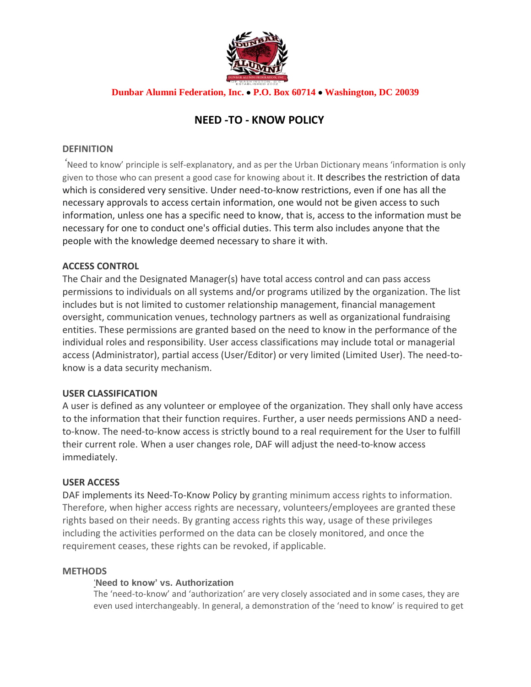

## **Dunbar Alumni Federation, Inc.** • **P.O. Box 60714** • **Washington, DC 20039**

# **NEED -TO - KNOW POLICY**

## **DEFINITION**

*'*Need to know' principle is self-explanatory, and as per the Urban Dictionary means 'information is only given to those who can present a good case for knowing about it. It describes the restriction of data which is considered very sensitive. Under need-to-know restrictions, even if one has all the necessary approvals to access certain information, one would not be given access to such information, unless one has a specific need to know, that is, access to the information must be necessary for one to conduct one's official duties. This term also includes anyone that the people with the knowledge deemed necessary to share it with.

## **ACCESS CONTROL**

The Chair and the Designated Manager(s) have total access control and can pass access permissions to individuals on all systems and/or programs utilized by the organization. The list includes but is not limited to customer relationship management, financial management oversight, communication venues, technology partners as well as organizational fundraising entities. These permissions are granted based on the need to know in the performance of the individual roles and responsibility. User access classifications may include total or managerial access (Administrator), partial access (User/Editor) or very limited (Limited User). The need-toknow is a data security mechanism.

#### **USER CLASSIFICATION**

A user is defined as any volunteer or employee of the organization. They shall only have access to the information that their function requires. Further, a user needs permissions AND a needto-know. The need-to-know access is strictly bound to a real requirement for the User to fulfill their current role. When a user changes role, DAF will adjust the need-to-know access immediately.

#### **USER ACCESS**

DAF implements its Need-To-Know Policy by granting minimum access rights to information. Therefore, when higher access rights are necessary, volunteers/employees are granted these rights based on their needs. By granting access rights this way, usage of these privileges including the activities performed on the data can be closely monitored, and once the requirement ceases, these rights can be revoked, if applicable.

#### **METHODS**

## '**Need to know' vs. Authorization**

The 'need-to-know' and 'authorization' are very closely associated and in some cases, they are even used interchangeably. In general, a demonstration of the 'need to know' is required to get